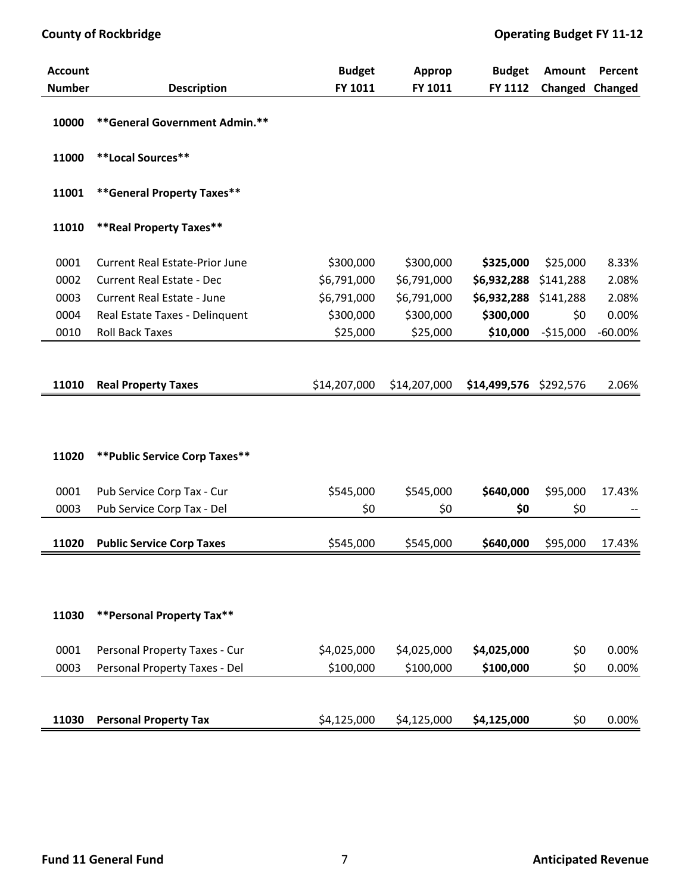| <b>Account</b> |                                       | <b>Budget</b> | <b>Approp</b> | <b>Budget</b>          | <b>Amount</b> | Percent   |
|----------------|---------------------------------------|---------------|---------------|------------------------|---------------|-----------|
| <b>Number</b>  | <b>Description</b>                    | FY 1011       | FY 1011       | FY 1112                | Changed       | Changed   |
| 10000          | ** General Government Admin.**        |               |               |                        |               |           |
| 11000          | **Local Sources**                     |               |               |                        |               |           |
| 11001          | **General Property Taxes**            |               |               |                        |               |           |
| 11010          | ** Real Property Taxes**              |               |               |                        |               |           |
| 0001           | <b>Current Real Estate-Prior June</b> | \$300,000     | \$300,000     | \$325,000              | \$25,000      | 8.33%     |
| 0002           | <b>Current Real Estate - Dec</b>      | \$6,791,000   | \$6,791,000   | \$6,932,288            | \$141,288     | 2.08%     |
| 0003           | <b>Current Real Estate - June</b>     | \$6,791,000   | \$6,791,000   | \$6,932,288            | \$141,288     | 2.08%     |
| 0004           | Real Estate Taxes - Delinquent        | \$300,000     | \$300,000     | \$300,000              | \$0           | 0.00%     |
| 0010           | <b>Roll Back Taxes</b>                | \$25,000      | \$25,000      | \$10,000               | $-$15,000$    | $-60.00%$ |
| 11010          | <b>Real Property Taxes</b>            | \$14,207,000  | \$14,207,000  | \$14,499,576 \$292,576 |               | 2.06%     |
| 11020          | ** Public Service Corp Taxes**        |               |               |                        |               |           |
| 0001           | Pub Service Corp Tax - Cur            | \$545,000     | \$545,000     | \$640,000              | \$95,000      | 17.43%    |
| 0003           | Pub Service Corp Tax - Del            | \$0           | \$0           | \$0                    | \$0           |           |
| 11020          | <b>Public Service Corp Taxes</b>      | \$545,000     | \$545,000     | \$640,000              | \$95,000      | 17.43%    |
|                |                                       |               |               |                        |               |           |
| 11030          | **Personal Property Tax**             |               |               |                        |               |           |
| 0001           | Personal Property Taxes - Cur         | \$4,025,000   | \$4,025,000   | \$4,025,000            | \$0           | 0.00%     |
| 0003           | Personal Property Taxes - Del         | \$100,000     | \$100,000     | \$100,000              | \$0           | 0.00%     |
|                |                                       |               |               |                        |               |           |
| 11030          | <b>Personal Property Tax</b>          | \$4,125,000   | \$4,125,000   | \$4,125,000            | \$0           | 0.00%     |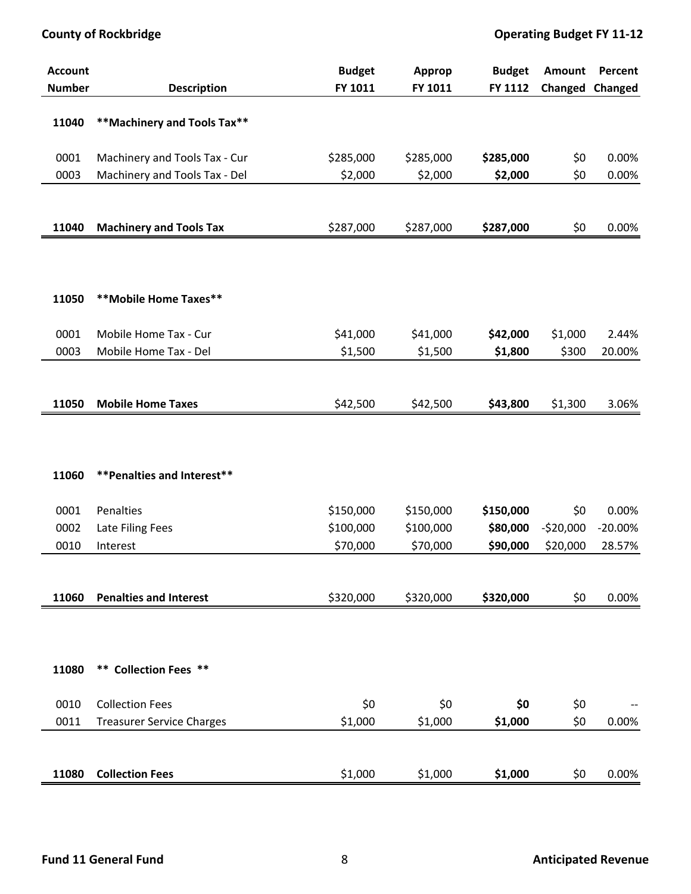| <b>Account</b><br><b>Number</b> | <b>Description</b>               | <b>Budget</b><br>FY 1011 | Approp<br>FY 1011 | <b>Budget</b><br>FY 1112 | Amount<br>Changed Changed | Percent   |
|---------------------------------|----------------------------------|--------------------------|-------------------|--------------------------|---------------------------|-----------|
|                                 |                                  |                          |                   |                          |                           |           |
| 11040                           | ** Machinery and Tools Tax**     |                          |                   |                          |                           |           |
|                                 |                                  |                          |                   |                          |                           |           |
| 0001                            | Machinery and Tools Tax - Cur    | \$285,000                | \$285,000         | \$285,000                | \$0                       | 0.00%     |
| 0003                            | Machinery and Tools Tax - Del    | \$2,000                  | \$2,000           | \$2,000                  | \$0                       | 0.00%     |
|                                 |                                  |                          |                   |                          |                           |           |
| 11040                           | <b>Machinery and Tools Tax</b>   | \$287,000                | \$287,000         | \$287,000                | \$0                       | 0.00%     |
|                                 |                                  |                          |                   |                          |                           |           |
|                                 |                                  |                          |                   |                          |                           |           |
|                                 |                                  |                          |                   |                          |                           |           |
| 11050                           | **Mobile Home Taxes**            |                          |                   |                          |                           |           |
| 0001                            | Mobile Home Tax - Cur            | \$41,000                 | \$41,000          | \$42,000                 | \$1,000                   | 2.44%     |
| 0003                            | Mobile Home Tax - Del            | \$1,500                  | \$1,500           | \$1,800                  | \$300                     | 20.00%    |
|                                 |                                  |                          |                   |                          |                           |           |
|                                 |                                  |                          |                   |                          |                           |           |
| 11050                           | <b>Mobile Home Taxes</b>         | \$42,500                 | \$42,500          | \$43,800                 | \$1,300                   | 3.06%     |
|                                 |                                  |                          |                   |                          |                           |           |
|                                 |                                  |                          |                   |                          |                           |           |
| 11060                           | ** Penalties and Interest**      |                          |                   |                          |                           |           |
|                                 |                                  |                          |                   |                          |                           |           |
| 0001                            | Penalties                        | \$150,000                | \$150,000         | \$150,000                | \$0                       | 0.00%     |
| 0002                            | Late Filing Fees                 | \$100,000                | \$100,000         | \$80,000                 | $-520,000$                | $-20.00%$ |
| 0010                            | Interest                         | \$70,000                 | \$70,000          | \$90,000                 | \$20,000                  | 28.57%    |
|                                 |                                  |                          |                   |                          |                           |           |
|                                 | <b>Penalties and Interest</b>    |                          |                   |                          |                           |           |
| 11060                           |                                  | \$320,000                | \$320,000         | \$320,000                | \$0                       | 0.00%     |
|                                 |                                  |                          |                   |                          |                           |           |
|                                 |                                  |                          |                   |                          |                           |           |
| 11080                           | ** Collection Fees **            |                          |                   |                          |                           |           |
|                                 |                                  |                          |                   |                          |                           |           |
| 0010                            | <b>Collection Fees</b>           | \$0                      | \$0               | \$0                      | \$0                       |           |
| 0011                            | <b>Treasurer Service Charges</b> | \$1,000                  | \$1,000           | \$1,000                  | \$0                       | 0.00%     |
|                                 |                                  |                          |                   |                          |                           |           |
| 11080                           | <b>Collection Fees</b>           | \$1,000                  | \$1,000           | \$1,000                  | \$0                       | 0.00%     |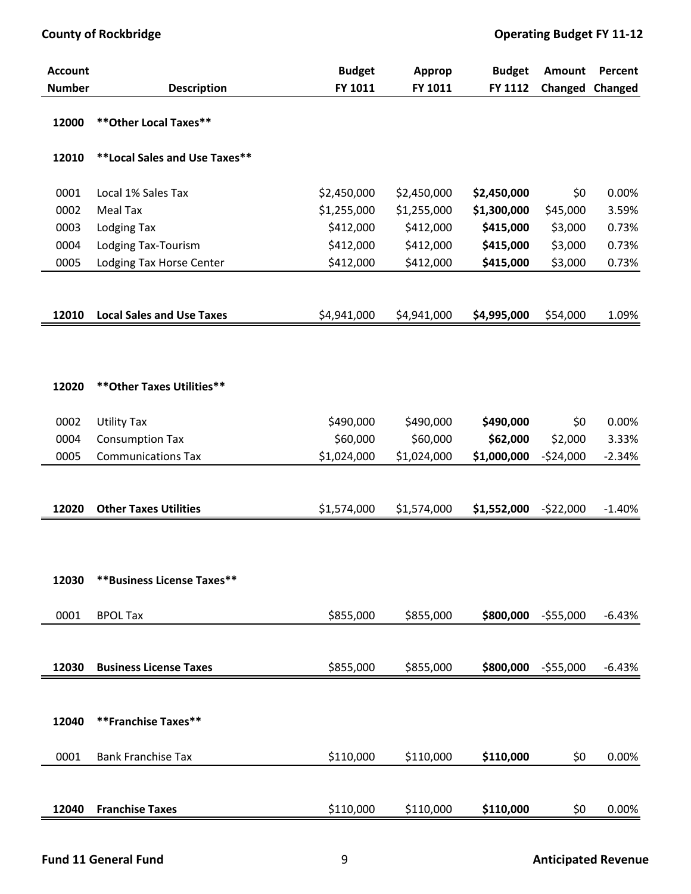| <b>Account</b> |                                  | <b>Budget</b> | <b>Approp</b> | <b>Budget</b> | Amount     | Percent  |
|----------------|----------------------------------|---------------|---------------|---------------|------------|----------|
| <b>Number</b>  | <b>Description</b>               | FY 1011       | FY 1011       | FY 1112       | Changed    | Changed  |
| 12000          | ** Other Local Taxes**           |               |               |               |            |          |
| 12010          | **Local Sales and Use Taxes**    |               |               |               |            |          |
| 0001           | Local 1% Sales Tax               | \$2,450,000   | \$2,450,000   | \$2,450,000   | \$0        | 0.00%    |
| 0002           | Meal Tax                         | \$1,255,000   | \$1,255,000   | \$1,300,000   | \$45,000   | 3.59%    |
| 0003           | <b>Lodging Tax</b>               | \$412,000     | \$412,000     | \$415,000     | \$3,000    | 0.73%    |
| 0004           | Lodging Tax-Tourism              | \$412,000     | \$412,000     | \$415,000     | \$3,000    | 0.73%    |
| 0005           | Lodging Tax Horse Center         | \$412,000     | \$412,000     | \$415,000     | \$3,000    | 0.73%    |
|                |                                  |               |               |               |            |          |
| 12010          | <b>Local Sales and Use Taxes</b> | \$4,941,000   | \$4,941,000   | \$4,995,000   | \$54,000   | 1.09%    |
|                |                                  |               |               |               |            |          |
| 12020          | ** Other Taxes Utilities**       |               |               |               |            |          |
| 0002           | <b>Utility Tax</b>               | \$490,000     | \$490,000     | \$490,000     | \$0        | 0.00%    |
| 0004           | <b>Consumption Tax</b>           | \$60,000      | \$60,000      | \$62,000      | \$2,000    | 3.33%    |
| 0005           | <b>Communications Tax</b>        | \$1,024,000   | \$1,024,000   | \$1,000,000   | $-524,000$ | $-2.34%$ |
|                |                                  |               |               |               |            |          |
|                |                                  |               |               |               |            |          |
| 12020          | <b>Other Taxes Utilities</b>     | \$1,574,000   | \$1,574,000   | \$1,552,000   | $-522,000$ | $-1.40%$ |
|                |                                  |               |               |               |            |          |
|                |                                  |               |               |               |            |          |
| 12030          | **Business License Taxes**       |               |               |               |            |          |
| 0001           | <b>BPOL Tax</b>                  | \$855,000     | \$855,000     | \$800,000     | $-555,000$ | $-6.43%$ |
|                |                                  |               |               |               |            |          |
| 12030          | <b>Business License Taxes</b>    | \$855,000     | \$855,000     | \$800,000     | $-555,000$ | $-6.43%$ |
|                |                                  |               |               |               |            |          |
|                |                                  |               |               |               |            |          |
| 12040          | **Franchise Taxes**              |               |               |               |            |          |
| 0001           | <b>Bank Franchise Tax</b>        | \$110,000     | \$110,000     | \$110,000     | \$0        | 0.00%    |
|                |                                  |               |               |               |            |          |
| 12040          | <b>Franchise Taxes</b>           | \$110,000     | \$110,000     | \$110,000     | \$0        | 0.00%    |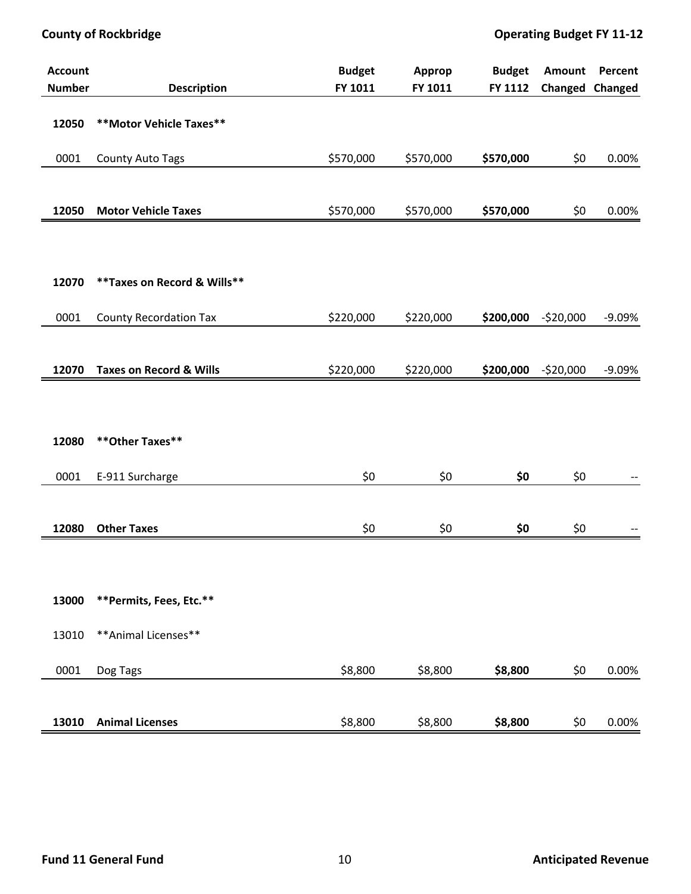| <b>Account</b><br><b>Number</b> | <b>Description</b>                 | <b>Budget</b><br>FY 1011 | <b>Approp</b><br>FY 1011 | <b>Budget</b><br>FY 1112 | Amount     | <b>Percent</b><br>Changed Changed |
|---------------------------------|------------------------------------|--------------------------|--------------------------|--------------------------|------------|-----------------------------------|
|                                 |                                    |                          |                          |                          |            |                                   |
| 12050                           | ** Motor Vehicle Taxes**           |                          |                          |                          |            |                                   |
| 0001                            | County Auto Tags                   | \$570,000                | \$570,000                | \$570,000                | \$0        | 0.00%                             |
|                                 |                                    |                          |                          |                          |            |                                   |
| 12050                           | <b>Motor Vehicle Taxes</b>         | \$570,000                | \$570,000                | \$570,000                | \$0        | 0.00%                             |
|                                 |                                    |                          |                          |                          |            |                                   |
|                                 |                                    |                          |                          |                          |            |                                   |
| 12070                           | ** Taxes on Record & Wills**       |                          |                          |                          |            |                                   |
| 0001                            | <b>County Recordation Tax</b>      | \$220,000                | \$220,000                | \$200,000                | $-520,000$ | $-9.09%$                          |
|                                 |                                    |                          |                          |                          |            |                                   |
| 12070                           | <b>Taxes on Record &amp; Wills</b> | \$220,000                | \$220,000                | \$200,000                | $-520,000$ | $-9.09%$                          |
|                                 |                                    |                          |                          |                          |            |                                   |
|                                 |                                    |                          |                          |                          |            |                                   |
| 12080                           | ** Other Taxes**                   |                          |                          |                          |            |                                   |
| 0001                            | E-911 Surcharge                    | \$0                      | \$0                      | \$0                      | \$0        |                                   |
|                                 |                                    |                          |                          |                          |            |                                   |
| 12080                           | <b>Other Taxes</b>                 | \$0                      | \$0                      | \$0                      | \$0        |                                   |
|                                 |                                    |                          |                          |                          |            |                                   |
|                                 |                                    |                          |                          |                          |            |                                   |
| 13000                           | **Permits, Fees, Etc.**            |                          |                          |                          |            |                                   |
| 13010                           | ** Animal Licenses**               |                          |                          |                          |            |                                   |
| 0001                            | Dog Tags                           | \$8,800                  | \$8,800                  | \$8,800                  | \$0        | 0.00%                             |
|                                 |                                    |                          |                          |                          |            |                                   |
| 13010                           | <b>Animal Licenses</b>             | \$8,800                  | \$8,800                  | \$8,800                  | \$0        | 0.00%                             |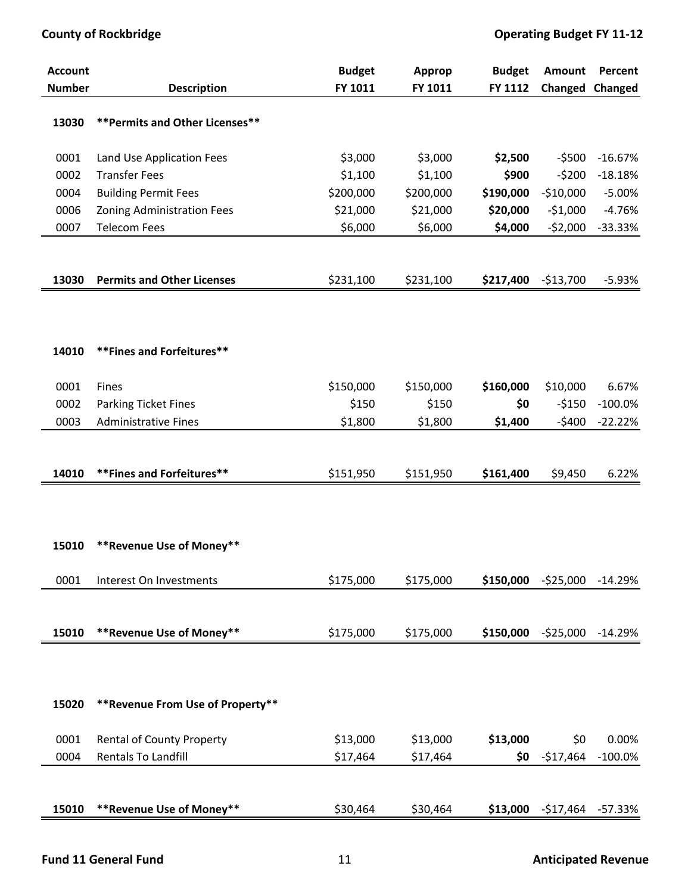| <b>Account</b><br><b>Number</b> | <b>Description</b>                | <b>Budget</b><br>FY 1011 | Approp<br>FY 1011 | <b>Budget</b><br>FY 1112 | Amount<br>Changed | Percent<br>Changed |
|---------------------------------|-----------------------------------|--------------------------|-------------------|--------------------------|-------------------|--------------------|
|                                 |                                   |                          |                   |                          |                   |                    |
| 13030                           | ** Permits and Other Licenses**   |                          |                   |                          |                   |                    |
| 0001                            | Land Use Application Fees         | \$3,000                  | \$3,000           | \$2,500                  | $-5500$           | $-16.67%$          |
| 0002                            | <b>Transfer Fees</b>              | \$1,100                  | \$1,100           | \$900                    | $-5200$           | $-18.18%$          |
| 0004                            | <b>Building Permit Fees</b>       | \$200,000                | \$200,000         | \$190,000                | $-$10,000$        | $-5.00%$           |
| 0006                            | Zoning Administration Fees        | \$21,000                 | \$21,000          | \$20,000                 | $-51,000$         | $-4.76%$           |
| 0007                            | <b>Telecom Fees</b>               | \$6,000                  | \$6,000           | \$4,000                  | $-52,000$         | $-33.33%$          |
|                                 |                                   |                          |                   |                          |                   |                    |
| 13030                           | <b>Permits and Other Licenses</b> |                          |                   |                          |                   | $-5.93%$           |
|                                 |                                   | \$231,100                | \$231,100         | \$217,400                | $-$13,700$        |                    |
|                                 |                                   |                          |                   |                          |                   |                    |
|                                 |                                   |                          |                   |                          |                   |                    |
| 14010                           | **Fines and Forfeitures**         |                          |                   |                          |                   |                    |
|                                 |                                   |                          |                   |                          |                   |                    |
| 0001                            | Fines                             | \$150,000                | \$150,000         | \$160,000                | \$10,000          | 6.67%              |
| 0002                            | <b>Parking Ticket Fines</b>       | \$150                    | \$150             | \$0                      | $-5150$           | $-100.0%$          |
| 0003                            | <b>Administrative Fines</b>       | \$1,800                  | \$1,800           | \$1,400                  | $-5400$           | $-22.22%$          |
|                                 |                                   |                          |                   |                          |                   |                    |
| 14010                           | ** Fines and Forfeitures**        | \$151,950                | \$151,950         | \$161,400                | \$9,450           | 6.22%              |
|                                 |                                   |                          |                   |                          |                   |                    |
|                                 |                                   |                          |                   |                          |                   |                    |
|                                 |                                   |                          |                   |                          |                   |                    |
| 15010                           | **Revenue Use of Money**          |                          |                   |                          |                   |                    |
|                                 |                                   |                          |                   |                          |                   |                    |
| 0001                            | Interest On Investments           | \$175,000                | \$175,000         | \$150,000                | $-525,000$        | $-14.29%$          |
|                                 |                                   |                          |                   |                          |                   |                    |
| 15010                           | **Revenue Use of Money**          | \$175,000                | \$175,000         | \$150,000                | $-525,000$        | $-14.29%$          |
|                                 |                                   |                          |                   |                          |                   |                    |
|                                 |                                   |                          |                   |                          |                   |                    |
|                                 |                                   |                          |                   |                          |                   |                    |
| 15020                           | ** Revenue From Use of Property** |                          |                   |                          |                   |                    |
| 0001                            | <b>Rental of County Property</b>  | \$13,000                 | \$13,000          | \$13,000                 | \$0               | 0.00%              |
| 0004                            | Rentals To Landfill               | \$17,464                 | \$17,464          | \$0                      | $-$17,464$        | $-100.0%$          |
|                                 |                                   |                          |                   |                          |                   |                    |
|                                 |                                   |                          |                   |                          |                   |                    |
| 15010                           | **Revenue Use of Money**          | \$30,464                 | \$30,464          | \$13,000                 | $-$17,464$        | $-57.33%$          |
|                                 |                                   |                          |                   |                          |                   |                    |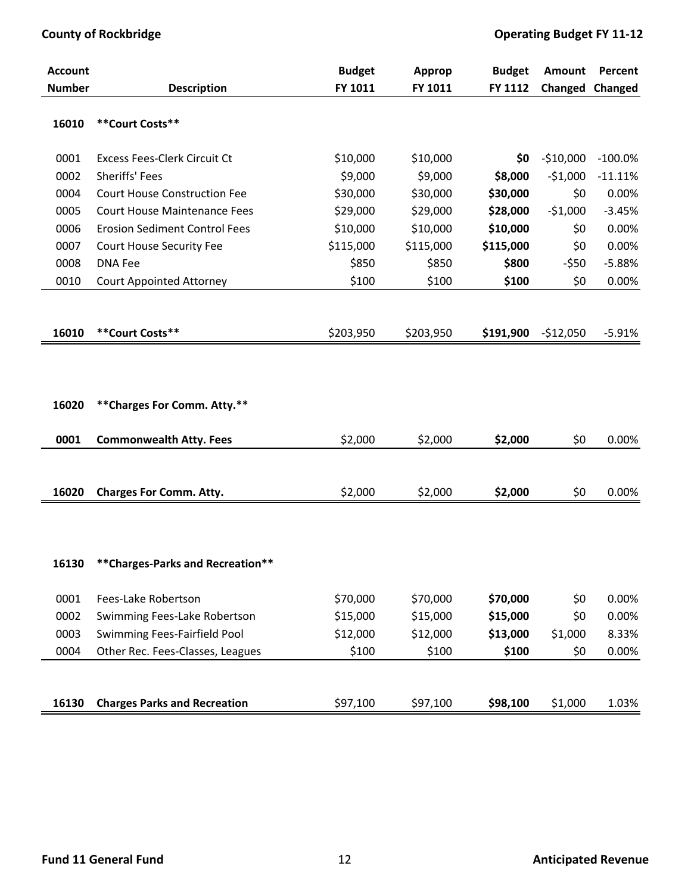| <b>Account</b> |                                                                | <b>Budget</b> | <b>Approp</b> | <b>Budget</b> | Amount     | Percent         |
|----------------|----------------------------------------------------------------|---------------|---------------|---------------|------------|-----------------|
| <b>Number</b>  | <b>Description</b>                                             | FY 1011       | FY 1011       | FY 1112       |            | Changed Changed |
| 16010          | **Court Costs**                                                |               |               |               |            |                 |
| 0001           | <b>Excess Fees-Clerk Circuit Ct</b>                            | \$10,000      | \$10,000      | \$0           | $-510,000$ | $-100.0%$       |
| 0002           | Sheriffs' Fees                                                 | \$9,000       | \$9,000       | \$8,000       | $-51,000$  | $-11.11%$       |
| 0004           | <b>Court House Construction Fee</b>                            | \$30,000      | \$30,000      | \$30,000      | \$0        | 0.00%           |
| 0005           | <b>Court House Maintenance Fees</b>                            | \$29,000      | \$29,000      | \$28,000      | $-51,000$  | $-3.45%$        |
| 0006           | <b>Erosion Sediment Control Fees</b>                           | \$10,000      | \$10,000      | \$10,000      | \$0        | 0.00%           |
| 0007           | Court House Security Fee                                       | \$115,000     | \$115,000     | \$115,000     | \$0        | 0.00%           |
| 0008           | <b>DNA Fee</b>                                                 | \$850         | \$850         | \$800         | $-550$     | $-5.88%$        |
| 0010           | <b>Court Appointed Attorney</b>                                | \$100         | \$100         | \$100         | \$0        | 0.00%           |
|                |                                                                |               |               |               |            |                 |
| 16010          | **Court Costs**                                                | \$203,950     | \$203,950     | \$191,900     | $-$12,050$ | $-5.91%$        |
| 16020<br>0001  | ** Charges For Comm. Atty.**<br><b>Commonwealth Atty. Fees</b> | \$2,000       | \$2,000       | \$2,000       | \$0        | 0.00%           |
| 16020          | <b>Charges For Comm. Atty.</b>                                 | \$2,000       | \$2,000       | \$2,000       | \$0        | 0.00%           |
| 16130          | ** Charges-Parks and Recreation**                              |               |               |               |            |                 |
| 0001           | Fees-Lake Robertson                                            | \$70,000      | \$70,000      | \$70,000      | \$0        | 0.00%           |
| 0002           | Swimming Fees-Lake Robertson                                   | \$15,000      | \$15,000      | \$15,000      | \$0        | 0.00%           |
| 0003           | Swimming Fees-Fairfield Pool                                   | \$12,000      | \$12,000      | \$13,000      | \$1,000    | 8.33%           |
| 0004           | Other Rec. Fees-Classes, Leagues                               | \$100         | \$100         | \$100         | \$0        | 0.00%           |
|                |                                                                |               |               |               |            |                 |
| 16130          | <b>Charges Parks and Recreation</b>                            | \$97,100      | \$97,100      | \$98,100      | \$1,000    | 1.03%           |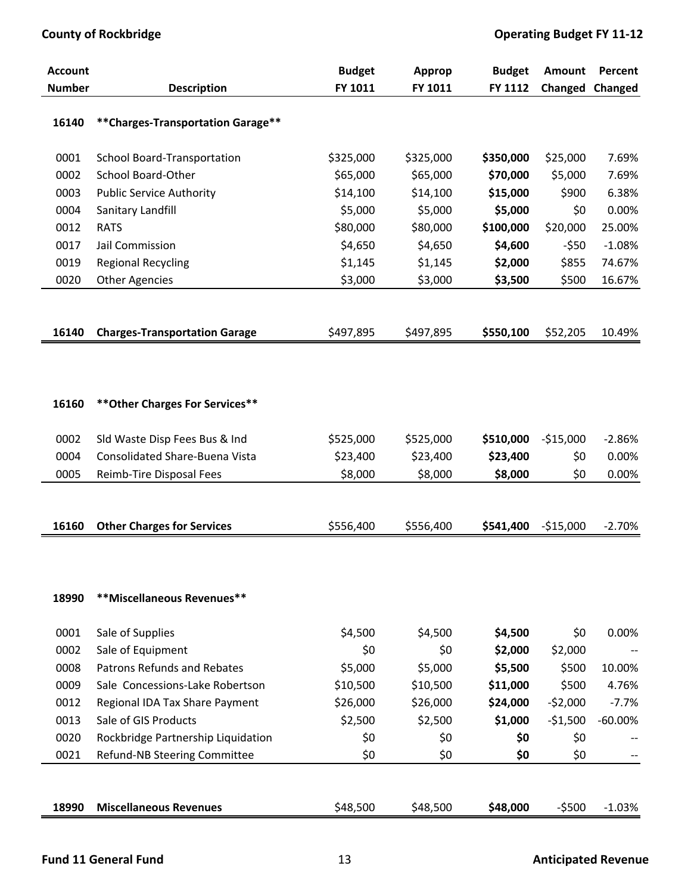| <b>Account</b><br><b>Number</b> | <b>Description</b>                               | <b>Budget</b><br>FY 1011 | Approp<br>FY 1011   | <b>Budget</b><br>FY 1112 | Amount<br>Changed | Percent<br>Changed |
|---------------------------------|--------------------------------------------------|--------------------------|---------------------|--------------------------|-------------------|--------------------|
|                                 |                                                  |                          |                     |                          |                   |                    |
| 16140                           | ** Charges-Transportation Garage**               |                          |                     |                          |                   |                    |
| 0001                            | School Board-Transportation                      | \$325,000                | \$325,000           | \$350,000                | \$25,000          | 7.69%              |
| 0002                            | School Board-Other                               | \$65,000                 | \$65,000            | \$70,000                 | \$5,000           | 7.69%              |
| 0003                            | <b>Public Service Authority</b>                  | \$14,100                 | \$14,100            | \$15,000                 | \$900             | 6.38%              |
| 0004                            | Sanitary Landfill                                | \$5,000                  | \$5,000             | \$5,000                  | \$0               | 0.00%              |
| 0012                            | <b>RATS</b>                                      | \$80,000                 | \$80,000            | \$100,000                | \$20,000          | 25.00%             |
| 0017                            | Jail Commission                                  | \$4,650                  | \$4,650             | \$4,600                  | $-550$            | $-1.08%$           |
| 0019                            | <b>Regional Recycling</b>                        | \$1,145                  | \$1,145             | \$2,000                  | \$855             | 74.67%             |
| 0020                            | <b>Other Agencies</b>                            | \$3,000                  | \$3,000             | \$3,500                  | \$500             | 16.67%             |
|                                 |                                                  |                          |                     |                          |                   |                    |
| 16140                           | <b>Charges-Transportation Garage</b>             | \$497,895                | \$497,895           | \$550,100                | \$52,205          | 10.49%             |
|                                 |                                                  |                          |                     |                          |                   |                    |
|                                 |                                                  |                          |                     |                          |                   |                    |
|                                 |                                                  |                          |                     |                          |                   |                    |
| 16160                           | ** Other Charges For Services**                  |                          |                     |                          |                   |                    |
| 0002                            | Sld Waste Disp Fees Bus & Ind                    | \$525,000                | \$525,000           | \$510,000                | $-$15,000$        | $-2.86%$           |
| 0004                            | <b>Consolidated Share-Buena Vista</b>            | \$23,400                 | \$23,400            | \$23,400                 | \$0               | 0.00%              |
| 0005                            | Reimb-Tire Disposal Fees                         | \$8,000                  | \$8,000             | \$8,000                  | \$0               | 0.00%              |
|                                 |                                                  |                          |                     |                          |                   |                    |
|                                 |                                                  |                          |                     |                          |                   |                    |
| 16160                           | <b>Other Charges for Services</b>                | \$556,400                | \$556,400           | \$541,400                | $-$15,000$        | $-2.70%$           |
|                                 |                                                  |                          |                     |                          |                   |                    |
|                                 |                                                  |                          |                     |                          |                   |                    |
| 18990                           | **Miscellaneous Revenues**                       |                          |                     |                          |                   |                    |
|                                 |                                                  |                          |                     |                          |                   |                    |
| 0001<br>0002                    | Sale of Supplies                                 | \$4,500<br>\$0           | \$4,500             | \$4,500                  | \$0               | 0.00%              |
| 0008                            | Sale of Equipment<br>Patrons Refunds and Rebates |                          | \$0                 | \$2,000                  | \$2,000           | 10.00%             |
| 0009                            | Sale Concessions-Lake Robertson                  | \$5,000                  | \$5,000<br>\$10,500 | \$5,500                  | \$500<br>\$500    | 4.76%              |
|                                 |                                                  | \$10,500                 |                     | \$11,000                 |                   |                    |
| 0012                            | Regional IDA Tax Share Payment                   | \$26,000                 | \$26,000            | \$24,000                 | $-52,000$         | $-7.7%$            |
| 0013                            | Sale of GIS Products                             | \$2,500                  | \$2,500             | \$1,000                  | $-51,500$         | $-60.00%$          |
| 0020                            | Rockbridge Partnership Liquidation               | \$0                      | \$0                 | \$0                      | \$0               |                    |
| 0021                            | Refund-NB Steering Committee                     | \$0                      | \$0                 | \$0                      | \$0               |                    |
|                                 |                                                  |                          |                     |                          |                   |                    |
| 18990                           | <b>Miscellaneous Revenues</b>                    | \$48,500                 | \$48,500            | \$48,000                 | $-5500$           | $-1.03%$           |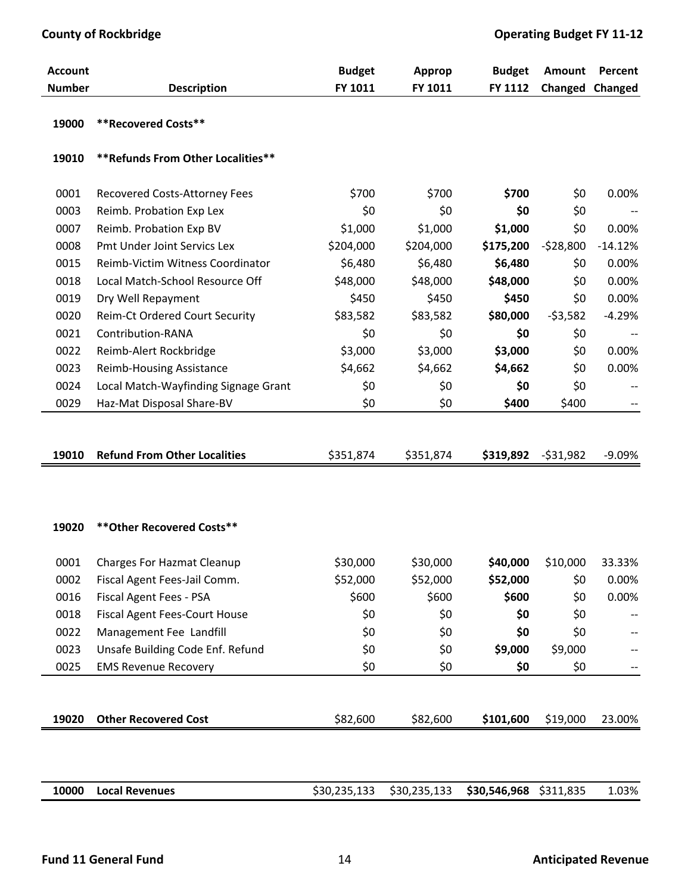| <b>Account</b> |                                      | <b>Budget</b> | Approp       | <b>Budget</b>          | Amount     | Percent   |
|----------------|--------------------------------------|---------------|--------------|------------------------|------------|-----------|
| <b>Number</b>  | <b>Description</b>                   | FY 1011       | FY 1011      | FY 1112                | Changed    | Changed   |
| 19000          | <b>**Recovered Costs**</b>           |               |              |                        |            |           |
| 19010          | ** Refunds From Other Localities**   |               |              |                        |            |           |
| 0001           | Recovered Costs-Attorney Fees        | \$700         | \$700        | \$700                  | \$0        | 0.00%     |
| 0003           | Reimb. Probation Exp Lex             | \$0           | \$0          | \$0                    | \$0        |           |
| 0007           | Reimb. Probation Exp BV              | \$1,000       | \$1,000      | \$1,000                | \$0        | 0.00%     |
| 0008           | Pmt Under Joint Servics Lex          | \$204,000     | \$204,000    | \$175,200              | $-528,800$ | $-14.12%$ |
| 0015           | Reimb-Victim Witness Coordinator     | \$6,480       | \$6,480      | \$6,480                | \$0        | 0.00%     |
| 0018           | Local Match-School Resource Off      | \$48,000      | \$48,000     | \$48,000               | \$0        | 0.00%     |
| 0019           | Dry Well Repayment                   | \$450         | \$450        | \$450                  | \$0        | 0.00%     |
| 0020           | Reim-Ct Ordered Court Security       | \$83,582      | \$83,582     | \$80,000               | $-53,582$  | $-4.29%$  |
| 0021           | Contribution-RANA                    | \$0           | \$0          | \$0                    | \$0        |           |
| 0022           | Reimb-Alert Rockbridge               | \$3,000       | \$3,000      | \$3,000                | \$0        | 0.00%     |
| 0023           | <b>Reimb-Housing Assistance</b>      | \$4,662       | \$4,662      | \$4,662                | \$0        | 0.00%     |
| 0024           | Local Match-Wayfinding Signage Grant | \$0           | \$0          | \$0                    | \$0        |           |
| 0029           | Haz-Mat Disposal Share-BV            | \$0           | \$0          | \$400                  | \$400      |           |
|                |                                      |               |              |                        |            |           |
| 19010          | <b>Refund From Other Localities</b>  | \$351,874     | \$351,874    | \$319,892              | $-531,982$ | $-9.09%$  |
|                |                                      |               |              |                        |            |           |
|                |                                      |               |              |                        |            |           |
| 19020          | ** Other Recovered Costs**           |               |              |                        |            |           |
| 0001           | <b>Charges For Hazmat Cleanup</b>    | \$30,000      | \$30,000     | \$40,000               | \$10,000   | 33.33%    |
| 0002           | Fiscal Agent Fees-Jail Comm.         | \$52,000      | \$52,000     | \$52,000               | \$0        | 0.00%     |
| 0016           | Fiscal Agent Fees - PSA              | \$600         | \$600        | \$600                  | \$0        | 0.00%     |
| 0018           | <b>Fiscal Agent Fees-Court House</b> | \$0           | \$0          | \$0                    | \$0        |           |
| 0022           | Management Fee Landfill              | \$0           | \$0          | \$0                    | \$0        |           |
| 0023           | Unsafe Building Code Enf. Refund     | \$0           | \$0          | \$9,000                | \$9,000    |           |
| 0025           | <b>EMS Revenue Recovery</b>          | \$0           | \$0          | \$0                    | \$0        |           |
|                |                                      |               |              |                        |            |           |
| 19020          | <b>Other Recovered Cost</b>          | \$82,600      | \$82,600     | \$101,600              | \$19,000   | 23.00%    |
|                |                                      |               |              |                        |            |           |
|                |                                      |               |              |                        |            |           |
| 10000          | <b>Local Revenues</b>                | \$30,235,133  | \$30,235,133 | \$30,546,968 \$311,835 |            | 1.03%     |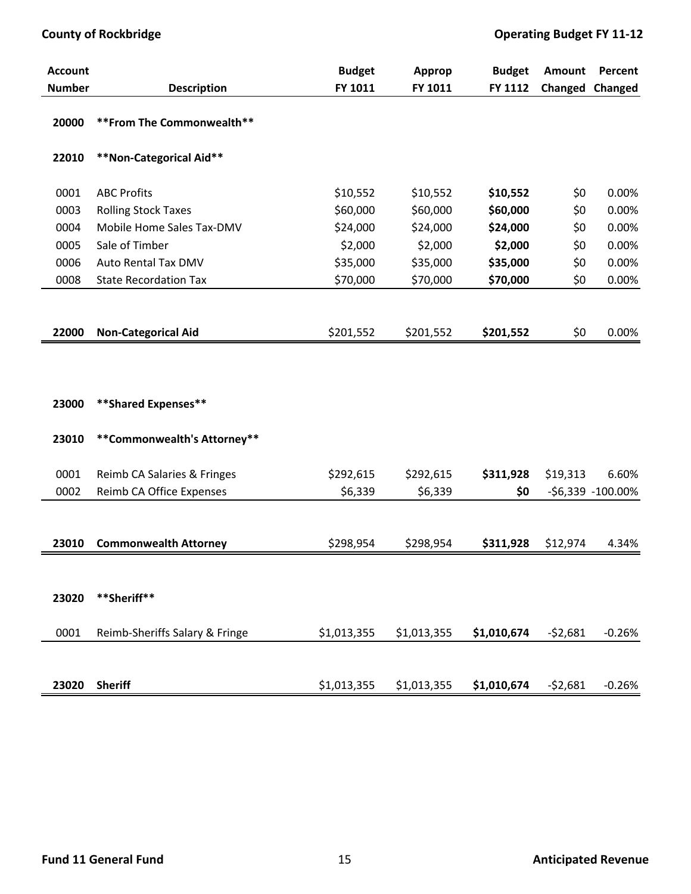## **County of Rockbridge COUNTER COUNTER ALL SECURITIES <b>Operating** Budget FY 11-12

| <b>Account</b> |                                | <b>Budget</b> | Approp      | <b>Budget</b> | Amount    | Percent           |
|----------------|--------------------------------|---------------|-------------|---------------|-----------|-------------------|
| <b>Number</b>  | <b>Description</b>             | FY 1011       | FY 1011     | FY 1112       | Changed   | Changed           |
| 20000          | ** From The Commonwealth**     |               |             |               |           |                   |
| 22010          | **Non-Categorical Aid**        |               |             |               |           |                   |
| 0001           | <b>ABC Profits</b>             | \$10,552      | \$10,552    | \$10,552      | \$0       | 0.00%             |
| 0003           | <b>Rolling Stock Taxes</b>     | \$60,000      | \$60,000    | \$60,000      | \$0       | 0.00%             |
| 0004           | Mobile Home Sales Tax-DMV      | \$24,000      | \$24,000    | \$24,000      | \$0       | 0.00%             |
| 0005           | Sale of Timber                 | \$2,000       | \$2,000     | \$2,000       | \$0       | 0.00%             |
| 0006           | Auto Rental Tax DMV            | \$35,000      | \$35,000    | \$35,000      | \$0       | 0.00%             |
| 0008           | <b>State Recordation Tax</b>   | \$70,000      | \$70,000    | \$70,000      | \$0       | 0.00%             |
|                |                                |               |             |               |           |                   |
| 22000          | <b>Non-Categorical Aid</b>     | \$201,552     | \$201,552   | \$201,552     | \$0       | 0.00%             |
| 23000          | **Shared Expenses**            |               |             |               |           |                   |
| 23010          | **Commonwealth's Attorney**    |               |             |               |           |                   |
| 0001           | Reimb CA Salaries & Fringes    | \$292,615     | \$292,615   | \$311,928     | \$19,313  | 6.60%             |
| 0002           | Reimb CA Office Expenses       | \$6,339       | \$6,339     | \$0           |           | -\$6,339 -100.00% |
|                |                                |               |             |               |           |                   |
| 23010          | <b>Commonwealth Attorney</b>   | \$298,954     | \$298,954   | \$311,928     | \$12,974  | 4.34%             |
|                |                                |               |             |               |           |                   |
| 23020          | **Sheriff**                    |               |             |               |           |                   |
| 0001           | Reimb-Sheriffs Salary & Fringe | \$1,013,355   | \$1,013,355 | \$1,010,674   | $-52,681$ | $-0.26%$          |
|                |                                |               |             |               |           |                   |
| 23020          | <b>Sheriff</b>                 | \$1,013,355   | \$1,013,355 | \$1,010,674   | $-52,681$ | $-0.26%$          |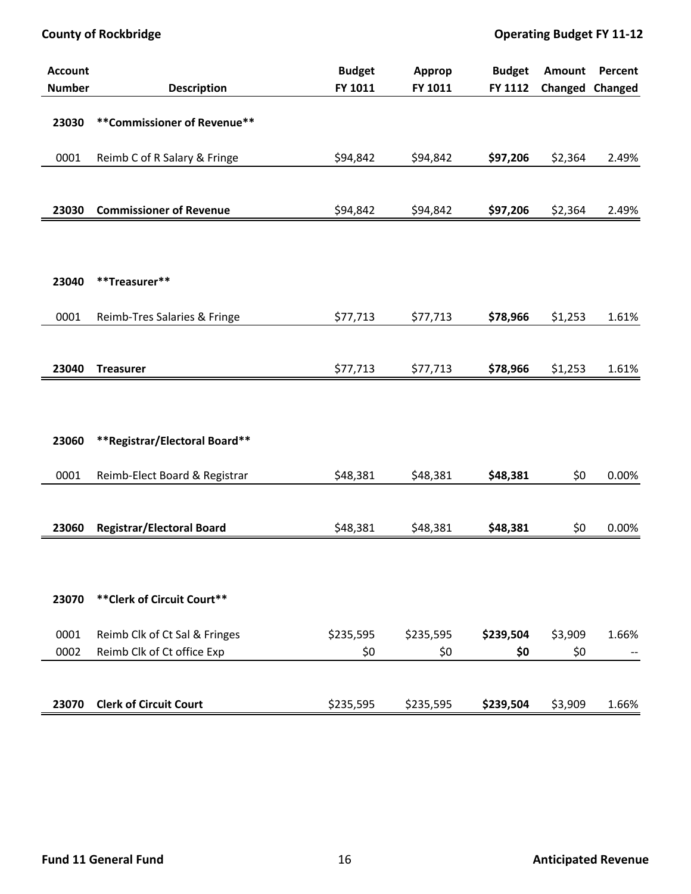| <b>Account</b> |                                                             | <b>Budget</b>    | <b>Approp</b> | <b>Budget</b>    | Amount  | Percent |
|----------------|-------------------------------------------------------------|------------------|---------------|------------------|---------|---------|
| <b>Number</b>  | <b>Description</b>                                          | FY 1011          | FY 1011       | FY 1112          | Changed | Changed |
| 23030          | ** Commissioner of Revenue**                                |                  |               |                  |         |         |
| 0001           | Reimb C of R Salary & Fringe                                | \$94,842         | \$94,842      | \$97,206         | \$2,364 | 2.49%   |
| 23030          | <b>Commissioner of Revenue</b>                              | \$94,842         | \$94,842      | \$97,206         | \$2,364 | 2.49%   |
|                |                                                             |                  |               |                  |         |         |
|                |                                                             |                  |               |                  |         |         |
|                |                                                             |                  |               |                  |         |         |
| 23040          | **Treasurer**                                               |                  |               |                  |         |         |
|                |                                                             |                  |               |                  |         |         |
| 0001           | Reimb-Tres Salaries & Fringe                                | \$77,713         | \$77,713      | \$78,966         | \$1,253 | 1.61%   |
|                |                                                             |                  |               |                  |         |         |
| 23040          | <b>Treasurer</b>                                            | \$77,713         | \$77,713      | \$78,966         | \$1,253 | 1.61%   |
|                |                                                             |                  |               |                  |         |         |
|                |                                                             |                  |               |                  |         |         |
|                |                                                             |                  |               |                  |         |         |
| 23060          | **Registrar/Electoral Board**                               |                  |               |                  |         |         |
| 0001           |                                                             | \$48,381         | \$48,381      | \$48,381         | \$0     | 0.00%   |
|                | Reimb-Elect Board & Registrar                               |                  |               |                  |         |         |
|                |                                                             |                  |               |                  |         |         |
| 23060          | <b>Registrar/Electoral Board</b>                            | \$48,381         | \$48,381      | \$48,381         | \$0     | 0.00%   |
|                |                                                             |                  |               |                  |         |         |
|                |                                                             |                  |               |                  |         |         |
|                |                                                             |                  |               |                  |         |         |
| 23070          | ** Clerk of Circuit Court**                                 |                  |               |                  |         |         |
| 0001           |                                                             |                  | \$235,595     |                  | \$3,909 | 1.66%   |
| 0002           | Reimb Clk of Ct Sal & Fringes<br>Reimb Clk of Ct office Exp | \$235,595<br>\$0 | \$0           | \$239,504<br>\$0 | \$0     |         |
|                |                                                             |                  |               |                  |         |         |
|                |                                                             |                  |               |                  |         |         |
| 23070          | <b>Clerk of Circuit Court</b>                               | \$235,595        | \$235,595     | \$239,504        | \$3,909 | 1.66%   |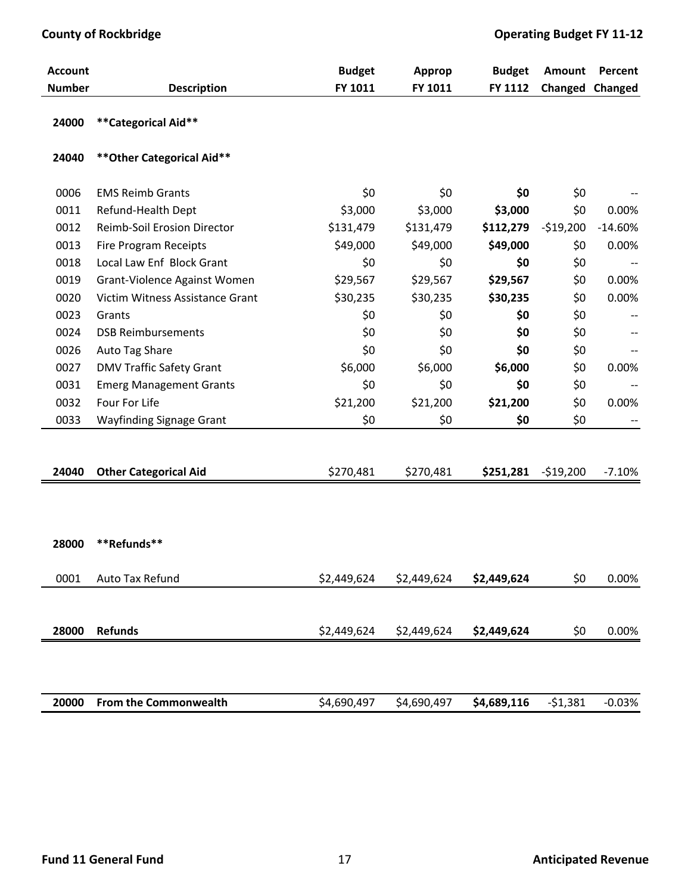| <b>Account</b> |                                 | <b>Budget</b> | <b>Approp</b> | <b>Budget</b> | Amount     | Percent                |
|----------------|---------------------------------|---------------|---------------|---------------|------------|------------------------|
| <b>Number</b>  | <b>Description</b>              | FY 1011       | FY 1011       | FY 1112       |            | <b>Changed Changed</b> |
| 24000          | **Categorical Aid**             |               |               |               |            |                        |
| 24040          | ** Other Categorical Aid**      |               |               |               |            |                        |
| 0006           | <b>EMS Reimb Grants</b>         | \$0           | \$0           | \$0           | \$0        |                        |
| 0011           | Refund-Health Dept              | \$3,000       | \$3,000       | \$3,000       | \$0        | 0.00%                  |
| 0012           | Reimb-Soil Erosion Director     | \$131,479     | \$131,479     | \$112,279     | $-519,200$ | $-14.60%$              |
| 0013           | Fire Program Receipts           | \$49,000      | \$49,000      | \$49,000      | \$0        | 0.00%                  |
| 0018           | Local Law Enf Block Grant       | \$0           | \$0           | \$0           | \$0        |                        |
| 0019           | Grant-Violence Against Women    | \$29,567      | \$29,567      | \$29,567      | \$0        | 0.00%                  |
| 0020           | Victim Witness Assistance Grant | \$30,235      | \$30,235      | \$30,235      | \$0        | 0.00%                  |
| 0023           | Grants                          | \$0           | \$0           | \$0           | \$0        |                        |
| 0024           | <b>DSB Reimbursements</b>       | \$0           | \$0           | \$0           | \$0        |                        |
| 0026           | Auto Tag Share                  | \$0           | \$0           | \$0           | \$0        |                        |
| 0027           | <b>DMV Traffic Safety Grant</b> | \$6,000       | \$6,000       | \$6,000       | \$0        | 0.00%                  |
| 0031           | <b>Emerg Management Grants</b>  | \$0           | \$0           | \$0           | \$0        |                        |
| 0032           | Four For Life                   | \$21,200      | \$21,200      | \$21,200      | \$0        | 0.00%                  |
| 0033           | Wayfinding Signage Grant        | \$0           | \$0           | \$0           | \$0        |                        |
|                |                                 |               |               |               |            |                        |
| 24040          | <b>Other Categorical Aid</b>    | \$270,481     | \$270,481     | \$251,281     | $-$19,200$ | $-7.10%$               |
|                |                                 |               |               |               |            |                        |
|                |                                 |               |               |               |            |                        |
|                |                                 |               |               |               |            |                        |
| 28000          | **Refunds**                     |               |               |               |            |                        |
| 0001           | Auto Tax Refund                 | \$2,449,624   | \$2,449,624   | \$2,449,624   | \$0        | 0.00%                  |
|                |                                 |               |               |               |            |                        |
|                |                                 |               |               |               |            |                        |
| 28000          | <b>Refunds</b>                  | \$2,449,624   | \$2,449,624   | \$2,449,624   | \$0        | 0.00%                  |
|                |                                 |               |               |               |            |                        |
|                |                                 |               |               |               |            |                        |
| 20000          | From the Commonwealth           | \$4,690,497   | \$4,690,497   | \$4,689,116   | $-51,381$  | $-0.03%$               |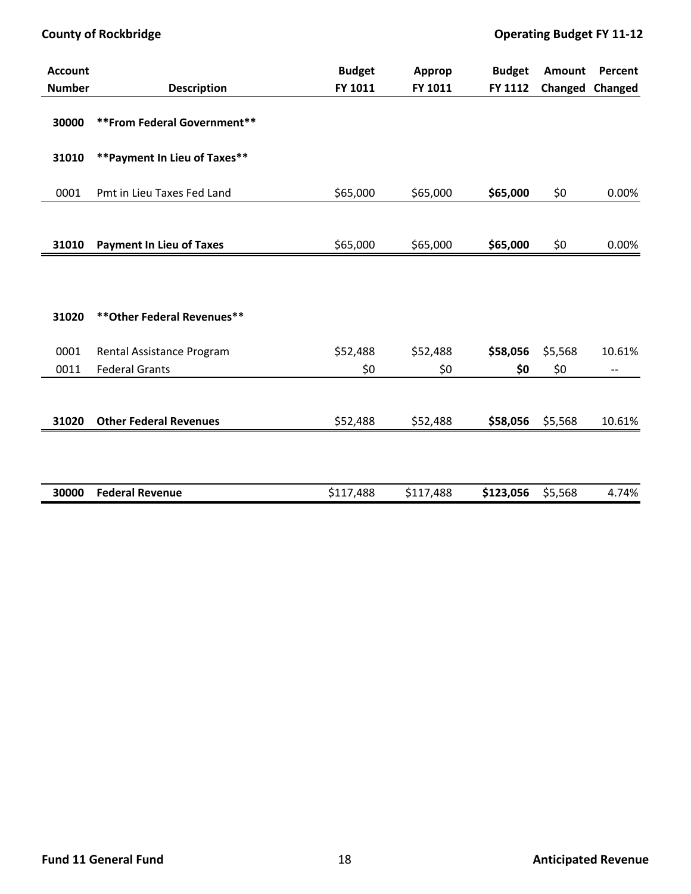| <b>Account</b> |                                 | <b>Budget</b> | Approp   | <b>Budget</b> | Amount  | Percent         |
|----------------|---------------------------------|---------------|----------|---------------|---------|-----------------|
| <b>Number</b>  | <b>Description</b>              | FY 1011       | FY 1011  | FY 1112       |         | Changed Changed |
| 30000          | ** From Federal Government**    |               |          |               |         |                 |
| 31010          | ** Payment In Lieu of Taxes**   |               |          |               |         |                 |
| 0001           | Pmt in Lieu Taxes Fed Land      | \$65,000      | \$65,000 | \$65,000      | \$0     | 0.00%           |
| 31010          | <b>Payment In Lieu of Taxes</b> | \$65,000      | \$65,000 | \$65,000      | \$0     | 0.00%           |
|                |                                 |               |          |               |         |                 |
| 31020          | ** Other Federal Revenues**     |               |          |               |         |                 |
| 0001           | Rental Assistance Program       | \$52,488      | \$52,488 | \$58,056      | \$5,568 | 10.61%          |
| 0011           | <b>Federal Grants</b>           | \$0           | \$0      | \$0           | \$0     | --              |
|                |                                 |               |          |               |         |                 |
| 31020          | <b>Other Federal Revenues</b>   | \$52,488      | \$52,488 | \$58,056      | \$5,568 | 10.61%          |
|                |                                 |               |          |               |         |                 |

| 30000 | <b>Federal Revenue</b> | \$117,488 | \$117,488 | \$123,056<br>\$5,568 | 4.74% |
|-------|------------------------|-----------|-----------|----------------------|-------|
|       |                        |           |           |                      |       |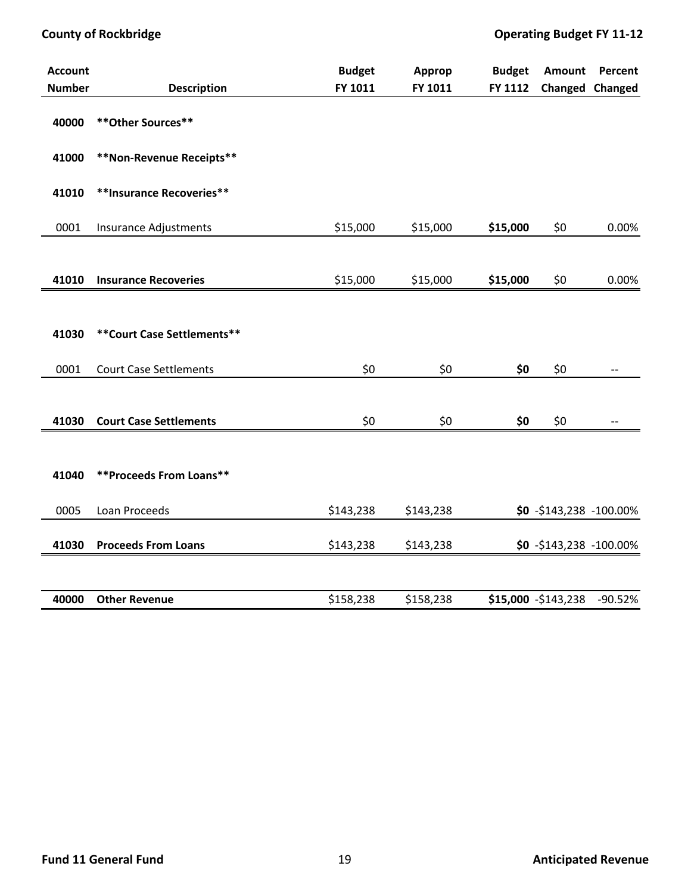| <b>Account</b> |                               | <b>Budget</b> | <b>Approp</b> | <b>Budget</b> | <b>Amount</b>              | Percent         |
|----------------|-------------------------------|---------------|---------------|---------------|----------------------------|-----------------|
| <b>Number</b>  | <b>Description</b>            | FY 1011       | FY 1011       | FY 1112       |                            | Changed Changed |
| 40000          | ** Other Sources**            |               |               |               |                            |                 |
| 41000          | **Non-Revenue Receipts**      |               |               |               |                            |                 |
| 41010          | **Insurance Recoveries**      |               |               |               |                            |                 |
| 0001           | Insurance Adjustments         | \$15,000      | \$15,000      | \$15,000      | \$0                        | 0.00%           |
|                |                               |               |               |               |                            |                 |
| 41010          | <b>Insurance Recoveries</b>   | \$15,000      | \$15,000      | \$15,000      | \$0                        | 0.00%           |
| 41030          | ** Court Case Settlements**   |               |               |               |                            |                 |
| 0001           | <b>Court Case Settlements</b> | \$0           | \$0           | \$0           | \$0                        |                 |
| 41030          | <b>Court Case Settlements</b> | \$0           | \$0           | \$0           | \$0                        |                 |
| 41040          | **Proceeds From Loans**       |               |               |               |                            |                 |
| 0005           | Loan Proceeds                 | \$143,238     | \$143,238     |               | $$0 - $143,238 - 100.00\%$ |                 |
| 41030          | <b>Proceeds From Loans</b>    | \$143,238     | \$143,238     |               | $$0 - $143,238 - 100.00\%$ |                 |
|                |                               |               |               |               |                            |                 |
| 40000          | <b>Other Revenue</b>          | \$158,238     | \$158,238     |               | \$15,000 -\$143,238        | $-90.52%$       |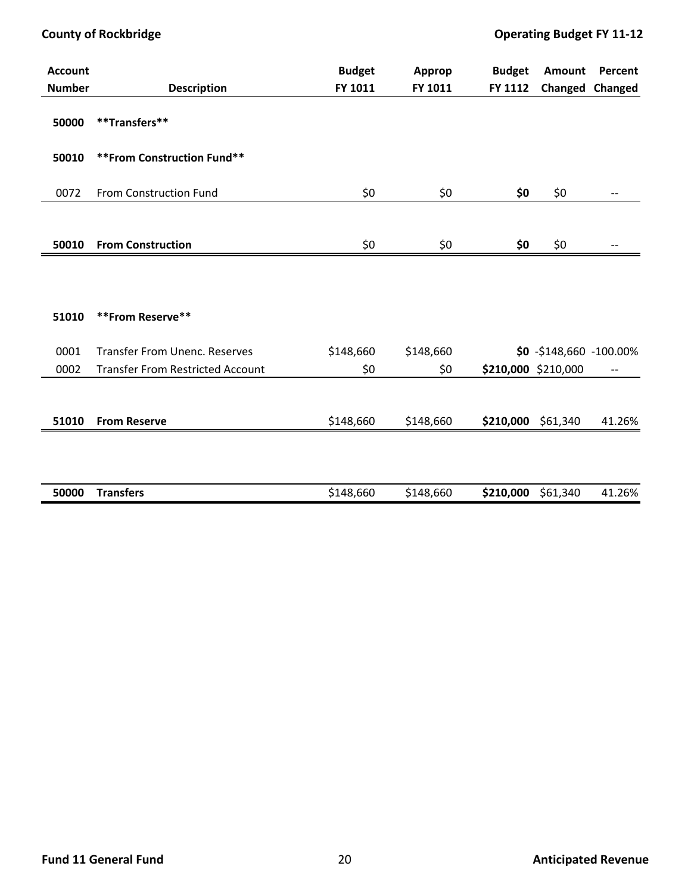| <b>Account</b> |                                         | <b>Budget</b> | Approp    | <b>Budget</b> | Amount                    | Percent           |
|----------------|-----------------------------------------|---------------|-----------|---------------|---------------------------|-------------------|
| <b>Number</b>  | <b>Description</b>                      | FY 1011       | FY 1011   | FY 1112       |                           | Changed Changed   |
| 50000          | **Transfers**                           |               |           |               |                           |                   |
| 50010          | **From Construction Fund**              |               |           |               |                           |                   |
| 0072           | From Construction Fund                  | \$0\$         | \$0       | \$0           | \$0                       | $\qquad \qquad -$ |
|                |                                         |               |           |               |                           |                   |
| 50010          | <b>From Construction</b>                | \$0\$         | \$0       | \$0           | \$0                       | --                |
| 51010          | **From Reserve**                        |               |           |               |                           |                   |
| 0001           | <b>Transfer From Unenc. Reserves</b>    | \$148,660     | \$148,660 |               | $$0 - $148,660 -100.00\%$ |                   |
| 0002           | <b>Transfer From Restricted Account</b> | \$0           | \$0       |               | \$210,000 \$210,000       | $-\!$             |
| 51010          | <b>From Reserve</b>                     | \$148,660     | \$148,660 |               | \$210,000 \$61,340        | 41.26%            |
|                |                                         |               |           |               |                           |                   |

| 50000<br><b>Transters</b> | \$148,660 | $\sim$<br>\$148,660 | \$210,000<br>\$61,340 | 1.26%<br>4. |
|---------------------------|-----------|---------------------|-----------------------|-------------|
|                           |           |                     |                       |             |